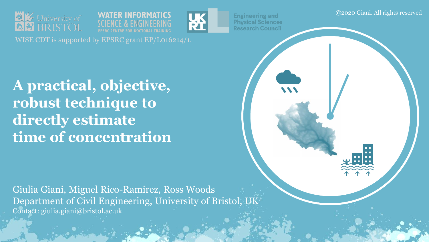





**Engineering and Physical Sciences Research Council** 

**A practical, objective, robust technique to directly estimate time of concentration**

Giulia Giani, Miguel Rico-Ramirez, Ross Woods Department of Civil Engineering, University of Bristol, UK Contact: giulia.giani@bristol.ac.uk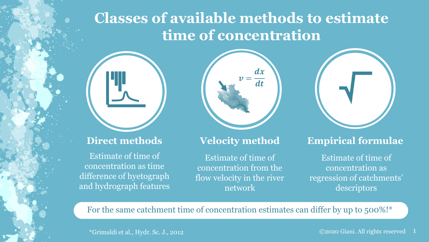# **Classes of available methods to estimate time of concentration**



#### **Direct methods**

Estimate of time of concentration as time difference of hyetograph and hydrograph features



#### **Velocity method**

Estimate of time of concentration from the flow velocity in the river network



#### **Empirical formulae**

Estimate of time of concentration as regression of catchments' descriptors

For the same catchment time of concentration estimates can differ by up to 500%!\*

\*Grimaldi et al., Hydr. Sc. J., 2012 ©2020 Giani. All rights reserved 1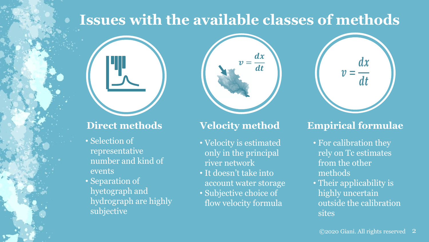# **Issues with the available classes of methods**



#### **Direct methods**

- Selection of representative number and kind of events
- Separation of hyetograph and hydrograph are highly subjective



### **Velocity method**

- Velocity is estimated only in the principal river network
- It doesn't take into account water storage
- Subjective choice of flow velocity formula



## **Empirical formulae**

- For calibration they rely on Tc estimates from the other methods
- Their applicability is highly uncertain outside the calibration sites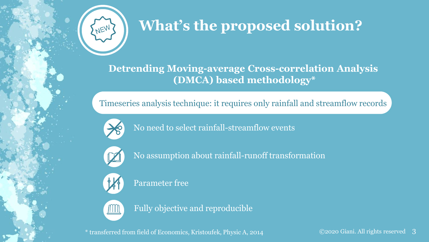

# **What's the proposed solution?**

**Detrending Moving-average Cross-correlation Analysis (DMCA) based methodology\***

Timeseries analysis technique: it requires only rainfall and streamflow records



No need to select rainfall-streamflow events



No assumption about rainfall-runoff transformation



Parameter free



Fully objective and reproducible

\* transferred from field of Economics, Kristoufek, Physic A, 2014 ©2020 Giani. All rights reserved 3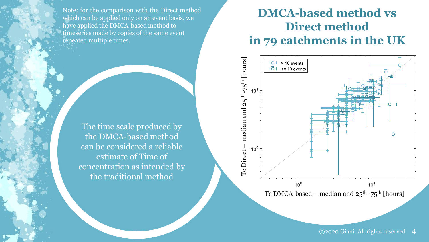Note: for the comparison with the Direct method which can be applied only on an event basis, we have applied the DMCA-based method to timeseries made by copies of the same event repeated multiple times.

> The time scale produced by the DMCA-based method can be considered a reliable estimate of Time of concentration as intended by the traditional method

## **DMCA-based method vs Direct method in 79 catchments in the UK**



©2020 Giani. All rights reserved 4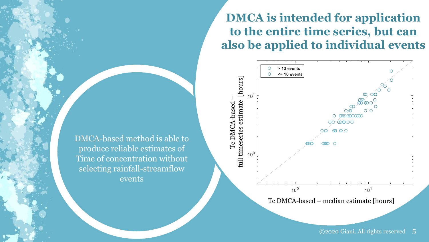**DMCA is intended for application to the entire time series, but can also be applied to individual events**



DMCA-based method is able to produce reliable estimates of Time of concentration without selecting rainfall-streamflow events

©2020 Giani. All rights reserved 5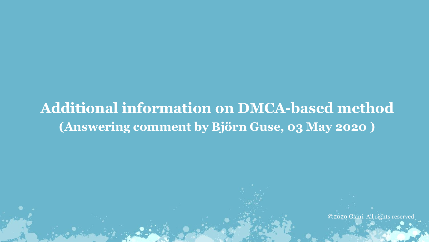# **Additional information on DMCA-based method (Answering comment by Björn Guse, 03 May 2020 )**

©2020 Giani. All rights reserved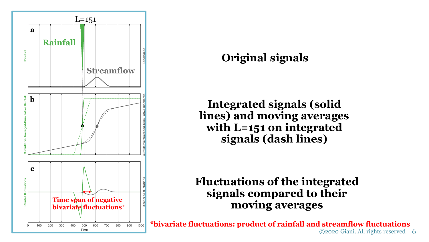

## **Original signals**

**Integrated signals (solid lines) and moving averages with L=151 on integrated signals (dash lines)**

## **Fluctuations of the integrated signals compared to their moving averages**

6 ©2020 Giani. All rights reserved**\*bivariate fluctuations: product of rainfall and streamflow fluctuations**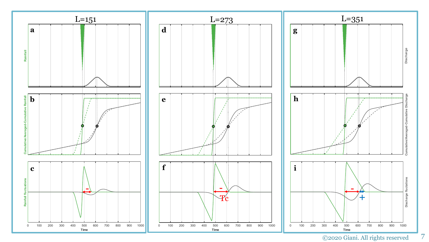

<sup>©2020</sup> Giani. All rights reserved

7

Discharge

9e š